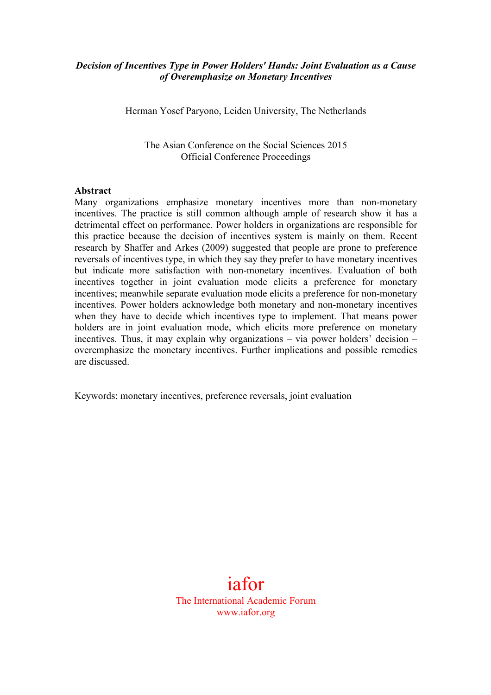### *Decision of Incentives Type in Power Holders' Hands: Joint Evaluation as a Cause of Overemphasize on Monetary Incentives*

Herman Yosef Paryono, Leiden University, The Netherlands

The Asian Conference on the Social Sciences 2015 Official Conference Proceedings

#### **Abstract**

Many organizations emphasize monetary incentives more than non-monetary incentives. The practice is still common although ample of research show it has a detrimental effect on performance. Power holders in organizations are responsible for this practice because the decision of incentives system is mainly on them. Recent research by Shaffer and Arkes (2009) suggested that people are prone to preference reversals of incentives type, in which they say they prefer to have monetary incentives but indicate more satisfaction with non-monetary incentives. Evaluation of both incentives together in joint evaluation mode elicits a preference for monetary incentives; meanwhile separate evaluation mode elicits a preference for non-monetary incentives. Power holders acknowledge both monetary and non-monetary incentives when they have to decide which incentives type to implement. That means power holders are in joint evaluation mode, which elicits more preference on monetary incentives. Thus, it may explain why organizations – via power holders' decision – overemphasize the monetary incentives. Further implications and possible remedies are discussed.

Keywords: monetary incentives, preference reversals, joint evaluation

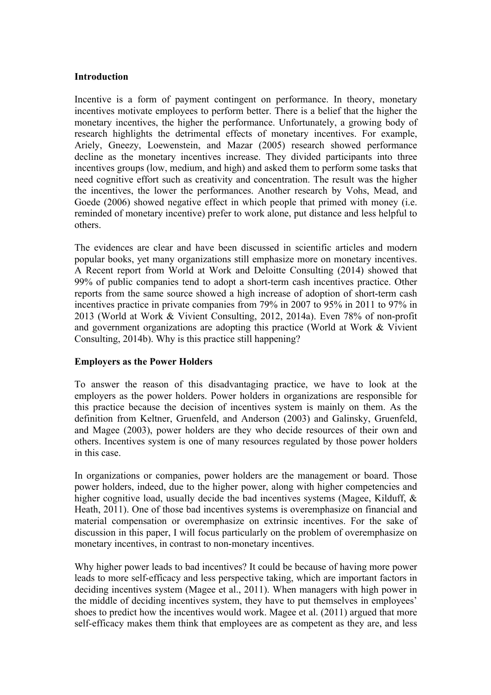### **Introduction**

Incentive is a form of payment contingent on performance. In theory, monetary incentives motivate employees to perform better. There is a belief that the higher the monetary incentives, the higher the performance. Unfortunately, a growing body of research highlights the detrimental effects of monetary incentives. For example, Ariely, Gneezy, Loewenstein, and Mazar (2005) research showed performance decline as the monetary incentives increase. They divided participants into three incentives groups (low, medium, and high) and asked them to perform some tasks that need cognitive effort such as creativity and concentration. The result was the higher the incentives, the lower the performances. Another research by Vohs, Mead, and Goede (2006) showed negative effect in which people that primed with money (i.e. reminded of monetary incentive) prefer to work alone, put distance and less helpful to others.

The evidences are clear and have been discussed in scientific articles and modern popular books, yet many organizations still emphasize more on monetary incentives. A Recent report from World at Work and Deloitte Consulting (2014) showed that 99% of public companies tend to adopt a short-term cash incentives practice. Other reports from the same source showed a high increase of adoption of short-term cash incentives practice in private companies from 79% in 2007 to 95% in 2011 to 97% in 2013 (World at Work & Vivient Consulting, 2012, 2014a). Even 78% of non-profit and government organizations are adopting this practice (World at Work & Vivient Consulting, 2014b). Why is this practice still happening?

### **Employers as the Power Holders**

To answer the reason of this disadvantaging practice, we have to look at the employers as the power holders. Power holders in organizations are responsible for this practice because the decision of incentives system is mainly on them. As the definition from Keltner, Gruenfeld, and Anderson (2003) and Galinsky, Gruenfeld, and Magee (2003), power holders are they who decide resources of their own and others. Incentives system is one of many resources regulated by those power holders in this case.

In organizations or companies, power holders are the management or board. Those power holders, indeed, due to the higher power, along with higher competencies and higher cognitive load, usually decide the bad incentives systems (Magee, Kilduff, & Heath, 2011). One of those bad incentives systems is overemphasize on financial and material compensation or overemphasize on extrinsic incentives. For the sake of discussion in this paper, I will focus particularly on the problem of overemphasize on monetary incentives, in contrast to non-monetary incentives.

Why higher power leads to bad incentives? It could be because of having more power leads to more self-efficacy and less perspective taking, which are important factors in deciding incentives system (Magee et al., 2011). When managers with high power in the middle of deciding incentives system, they have to put themselves in employees' shoes to predict how the incentives would work. Magee et al. (2011) argued that more self-efficacy makes them think that employees are as competent as they are, and less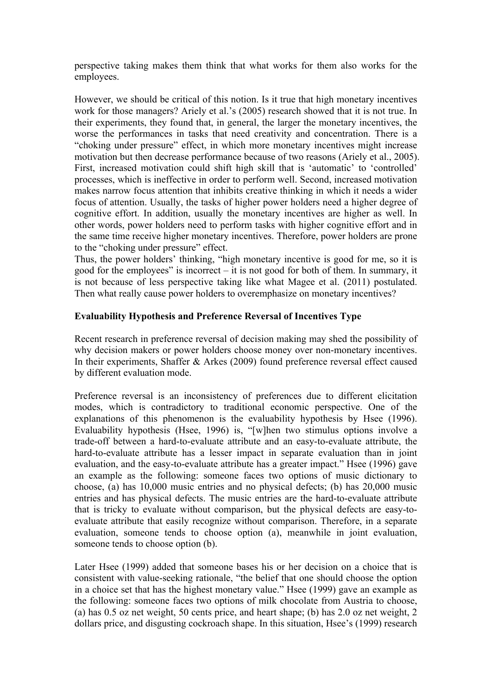perspective taking makes them think that what works for them also works for the employees.

However, we should be critical of this notion. Is it true that high monetary incentives work for those managers? Ariely et al.'s (2005) research showed that it is not true. In their experiments, they found that, in general, the larger the monetary incentives, the worse the performances in tasks that need creativity and concentration. There is a "choking under pressure" effect, in which more monetary incentives might increase motivation but then decrease performance because of two reasons (Ariely et al., 2005). First, increased motivation could shift high skill that is 'automatic' to 'controlled' processes, which is ineffective in order to perform well. Second, increased motivation makes narrow focus attention that inhibits creative thinking in which it needs a wider focus of attention. Usually, the tasks of higher power holders need a higher degree of cognitive effort. In addition, usually the monetary incentives are higher as well. In other words, power holders need to perform tasks with higher cognitive effort and in the same time receive higher monetary incentives. Therefore, power holders are prone to the "choking under pressure" effect.

Thus, the power holders' thinking, "high monetary incentive is good for me, so it is good for the employees" is incorrect – it is not good for both of them. In summary, it is not because of less perspective taking like what Magee et al. (2011) postulated. Then what really cause power holders to overemphasize on monetary incentives?

### **Evaluability Hypothesis and Preference Reversal of Incentives Type**

Recent research in preference reversal of decision making may shed the possibility of why decision makers or power holders choose money over non-monetary incentives. In their experiments, Shaffer & Arkes (2009) found preference reversal effect caused by different evaluation mode.

Preference reversal is an inconsistency of preferences due to different elicitation modes, which is contradictory to traditional economic perspective. One of the explanations of this phenomenon is the evaluability hypothesis by Hsee (1996). Evaluability hypothesis (Hsee, 1996) is, "[w]hen two stimulus options involve a trade-off between a hard-to-evaluate attribute and an easy-to-evaluate attribute, the hard-to-evaluate attribute has a lesser impact in separate evaluation than in joint evaluation, and the easy-to-evaluate attribute has a greater impact." Hsee (1996) gave an example as the following: someone faces two options of music dictionary to choose, (a) has 10,000 music entries and no physical defects; (b) has 20,000 music entries and has physical defects. The music entries are the hard-to-evaluate attribute that is tricky to evaluate without comparison, but the physical defects are easy-toevaluate attribute that easily recognize without comparison. Therefore, in a separate evaluation, someone tends to choose option (a), meanwhile in joint evaluation, someone tends to choose option (b).

Later Hsee (1999) added that someone bases his or her decision on a choice that is consistent with value-seeking rationale, "the belief that one should choose the option in a choice set that has the highest monetary value." Hsee (1999) gave an example as the following: someone faces two options of milk chocolate from Austria to choose, (a) has 0.5 oz net weight, 50 cents price, and heart shape; (b) has 2.0 oz net weight, 2 dollars price, and disgusting cockroach shape. In this situation, Hsee's (1999) research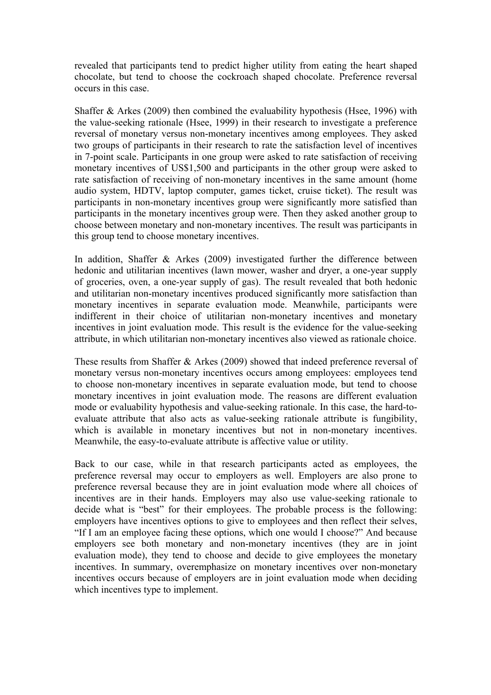revealed that participants tend to predict higher utility from eating the heart shaped chocolate, but tend to choose the cockroach shaped chocolate. Preference reversal occurs in this case.

Shaffer & Arkes (2009) then combined the evaluability hypothesis (Hsee, 1996) with the value-seeking rationale (Hsee, 1999) in their research to investigate a preference reversal of monetary versus non-monetary incentives among employees. They asked two groups of participants in their research to rate the satisfaction level of incentives in 7-point scale. Participants in one group were asked to rate satisfaction of receiving monetary incentives of US\$1,500 and participants in the other group were asked to rate satisfaction of receiving of non-monetary incentives in the same amount (home audio system, HDTV, laptop computer, games ticket, cruise ticket). The result was participants in non-monetary incentives group were significantly more satisfied than participants in the monetary incentives group were. Then they asked another group to choose between monetary and non-monetary incentives. The result was participants in this group tend to choose monetary incentives.

In addition, Shaffer & Arkes (2009) investigated further the difference between hedonic and utilitarian incentives (lawn mower, washer and dryer, a one-year supply of groceries, oven, a one-year supply of gas). The result revealed that both hedonic and utilitarian non-monetary incentives produced significantly more satisfaction than monetary incentives in separate evaluation mode. Meanwhile, participants were indifferent in their choice of utilitarian non-monetary incentives and monetary incentives in joint evaluation mode. This result is the evidence for the value-seeking attribute, in which utilitarian non-monetary incentives also viewed as rationale choice.

These results from Shaffer & Arkes (2009) showed that indeed preference reversal of monetary versus non-monetary incentives occurs among employees: employees tend to choose non-monetary incentives in separate evaluation mode, but tend to choose monetary incentives in joint evaluation mode. The reasons are different evaluation mode or evaluability hypothesis and value-seeking rationale. In this case, the hard-toevaluate attribute that also acts as value-seeking rationale attribute is fungibility, which is available in monetary incentives but not in non-monetary incentives. Meanwhile, the easy-to-evaluate attribute is affective value or utility.

Back to our case, while in that research participants acted as employees, the preference reversal may occur to employers as well. Employers are also prone to preference reversal because they are in joint evaluation mode where all choices of incentives are in their hands. Employers may also use value-seeking rationale to decide what is "best" for their employees. The probable process is the following: employers have incentives options to give to employees and then reflect their selves, "If I am an employee facing these options, which one would I choose?" And because employers see both monetary and non-monetary incentives (they are in joint evaluation mode), they tend to choose and decide to give employees the monetary incentives. In summary, overemphasize on monetary incentives over non-monetary incentives occurs because of employers are in joint evaluation mode when deciding which incentives type to implement.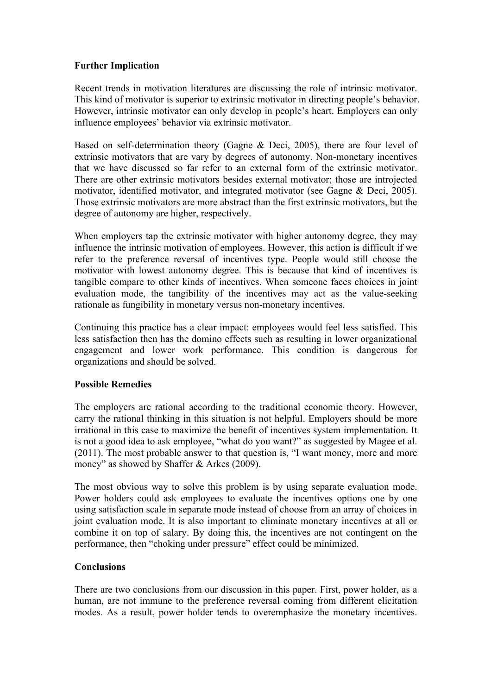### **Further Implication**

Recent trends in motivation literatures are discussing the role of intrinsic motivator. This kind of motivator is superior to extrinsic motivator in directing people's behavior. However, intrinsic motivator can only develop in people's heart. Employers can only influence employees' behavior via extrinsic motivator.

Based on self-determination theory (Gagne & Deci, 2005), there are four level of extrinsic motivators that are vary by degrees of autonomy. Non-monetary incentives that we have discussed so far refer to an external form of the extrinsic motivator. There are other extrinsic motivators besides external motivator; those are introjected motivator, identified motivator, and integrated motivator (see Gagne & Deci, 2005). Those extrinsic motivators are more abstract than the first extrinsic motivators, but the degree of autonomy are higher, respectively.

When employers tap the extrinsic motivator with higher autonomy degree, they may influence the intrinsic motivation of employees. However, this action is difficult if we refer to the preference reversal of incentives type. People would still choose the motivator with lowest autonomy degree. This is because that kind of incentives is tangible compare to other kinds of incentives. When someone faces choices in joint evaluation mode, the tangibility of the incentives may act as the value-seeking rationale as fungibility in monetary versus non-monetary incentives.

Continuing this practice has a clear impact: employees would feel less satisfied. This less satisfaction then has the domino effects such as resulting in lower organizational engagement and lower work performance. This condition is dangerous for organizations and should be solved.

### **Possible Remedies**

The employers are rational according to the traditional economic theory. However, carry the rational thinking in this situation is not helpful. Employers should be more irrational in this case to maximize the benefit of incentives system implementation. It is not a good idea to ask employee, "what do you want?" as suggested by Magee et al. (2011). The most probable answer to that question is, "I want money, more and more money" as showed by Shaffer & Arkes (2009).

The most obvious way to solve this problem is by using separate evaluation mode. Power holders could ask employees to evaluate the incentives options one by one using satisfaction scale in separate mode instead of choose from an array of choices in joint evaluation mode. It is also important to eliminate monetary incentives at all or combine it on top of salary. By doing this, the incentives are not contingent on the performance, then "choking under pressure" effect could be minimized.

## **Conclusions**

There are two conclusions from our discussion in this paper. First, power holder, as a human, are not immune to the preference reversal coming from different elicitation modes. As a result, power holder tends to overemphasize the monetary incentives.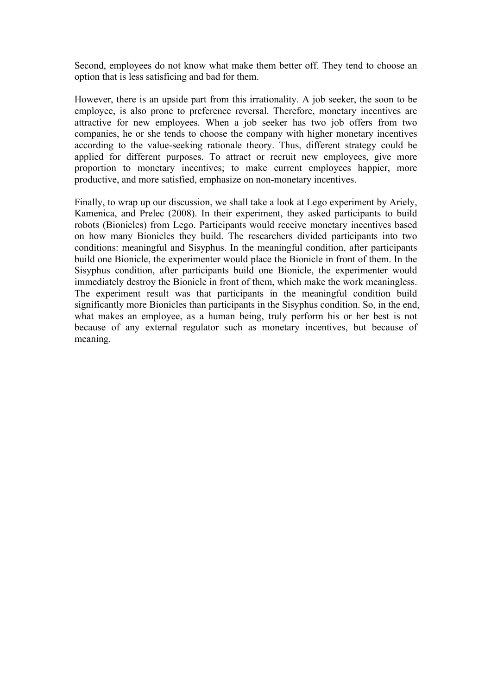Second, employees do not know what make them better off. They tend to choose an option that is less satisficing and bad for them.

However, there is an upside part from this irrationality. A job seeker, the soon to be employee, is also prone to preference reversal. Therefore, monetary incentives are attractive for new employees. When a job seeker has two job offers from two companies, he or she tends to choose the company with higher monetary incentives according to the value-seeking rationale theory. Thus, different strategy could be applied for different purposes. To attract or recruit new employees, give more proportion to monetary incentives; to make current employees happier, more productive, and more satisfied, emphasize on non-monetary incentives.

Finally, to wrap up our discussion, we shall take a look at Lego experiment by Ariely, Kamenica, and Prelec (2008). In their experiment, they asked participants to build robots (Bionicles) from Lego. Participants would receive monetary incentives based on how many Bionicles they build. The researchers divided participants into two conditions: meaningful and Sisyphus. In the meaningful condition, after participants build one Bionicle, the experimenter would place the Bionicle in front of them. In the Sisyphus condition, after participants build one Bionicle, the experimenter would immediately destroy the Bionicle in front of them, which make the work meaningless. The experiment result was that participants in the meaningful condition build significantly more Bionicles than participants in the Sisyphus condition. So, in the end, what makes an employee, as a human being, truly perform his or her best is not because of any external regulator such as monetary incentives, but because of meaning.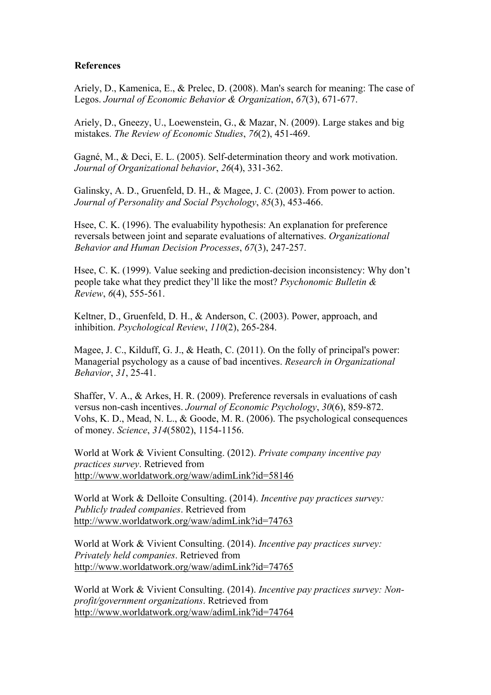### **References**

Ariely, D., Kamenica, E., & Prelec, D. (2008). Man's search for meaning: The case of Legos. *Journal of Economic Behavior & Organization*, *67*(3), 671-677.

Ariely, D., Gneezy, U., Loewenstein, G., & Mazar, N. (2009). Large stakes and big mistakes. *The Review of Economic Studies*, *76*(2), 451-469.

Gagné, M., & Deci, E. L. (2005). Self-determination theory and work motivation. *Journal of Organizational behavior*, *26*(4), 331-362.

Galinsky, A. D., Gruenfeld, D. H., & Magee, J. C. (2003). From power to action. *Journal of Personality and Social Psychology*, *85*(3), 453-466.

Hsee, C. K. (1996). The evaluability hypothesis: An explanation for preference reversals between joint and separate evaluations of alternatives. *Organizational Behavior and Human Decision Processes*, *67*(3), 247-257.

Hsee, C. K. (1999). Value seeking and prediction-decision inconsistency: Why don't people take what they predict they'll like the most? *Psychonomic Bulletin & Review*, *6*(4), 555-561.

Keltner, D., Gruenfeld, D. H., & Anderson, C. (2003). Power, approach, and inhibition. *Psychological Review*, *110*(2), 265-284.

Magee, J. C., Kilduff, G. J., & Heath, C. (2011). On the folly of principal's power: Managerial psychology as a cause of bad incentives. *Research in Organizational Behavior*, *31*, 25-41.

Shaffer, V. A., & Arkes, H. R. (2009). Preference reversals in evaluations of cash versus non-cash incentives. *Journal of Economic Psychology*, *30*(6), 859-872. Vohs, K. D., Mead, N. L., & Goode, M. R. (2006). The psychological consequences of money. *Science*, *314*(5802), 1154-1156.

World at Work & Vivient Consulting. (2012). *Private company incentive pay practices survey*. Retrieved from http://www.worldatwork.org/waw/adimLink?id=58146

World at Work & Delloite Consulting. (2014). *Incentive pay practices survey: Publicly traded companies*. Retrieved from http://www.worldatwork.org/waw/adimLink?id=74763

World at Work & Vivient Consulting. (2014). *Incentive pay practices survey: Privately held companies*. Retrieved from http://www.worldatwork.org/waw/adimLink?id=74765

World at Work & Vivient Consulting. (2014). *Incentive pay practices survey: Nonprofit/government organizations*. Retrieved from http://www.worldatwork.org/waw/adimLink?id=74764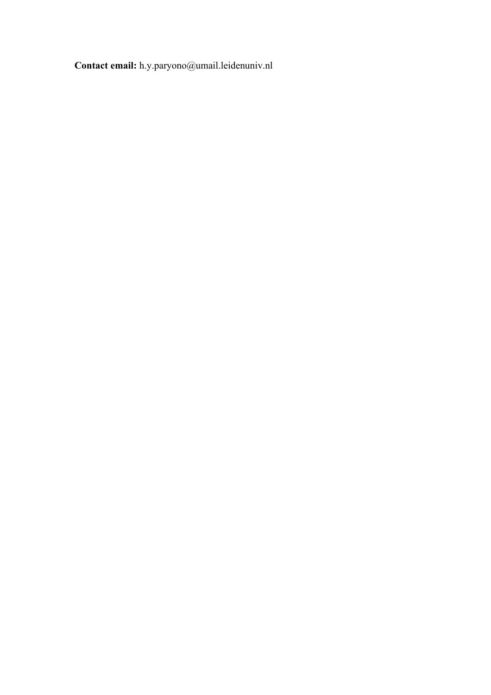**Contact email:** h.y.paryono@umail.leidenuniv.nl